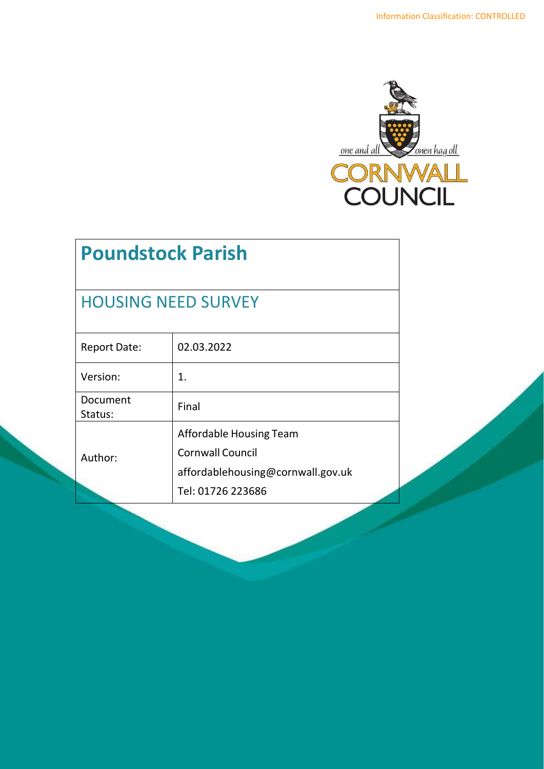

# **Poundstock Parish**

## HOUSING NEED SURVEY

| <b>Report Date:</b> | 02.03.2022                                                                                                   |
|---------------------|--------------------------------------------------------------------------------------------------------------|
| Version:            | 1.                                                                                                           |
| Document<br>Status: | Final                                                                                                        |
| Author:             | Affordable Housing Team<br><b>Cornwall Council</b><br>affordablehousing@cornwall.gov.uk<br>Tel: 01726 223686 |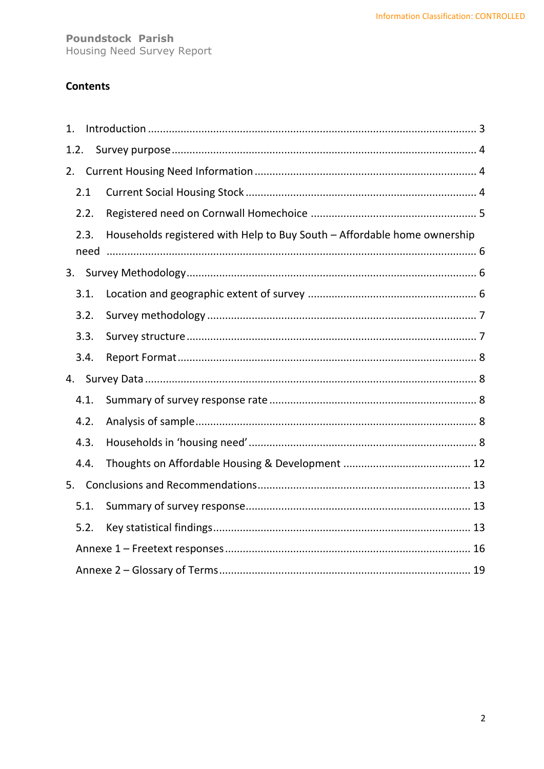## **Contents**

| 1.   |      |                                                                          |
|------|------|--------------------------------------------------------------------------|
| 1.2. |      |                                                                          |
| 2.   |      |                                                                          |
|      | 2.1  |                                                                          |
|      | 2.2. |                                                                          |
|      | 2.3. | Households registered with Help to Buy South - Affordable home ownership |
|      | need |                                                                          |
|      |      |                                                                          |
|      | 3.1. |                                                                          |
|      | 3.2. |                                                                          |
|      | 3.3. |                                                                          |
|      | 3.4. |                                                                          |
|      |      |                                                                          |
|      | 4.1. |                                                                          |
|      | 4.2. |                                                                          |
|      | 4.3. |                                                                          |
|      | 4.4. |                                                                          |
| 5.   |      |                                                                          |
|      | 5.1. |                                                                          |
|      | 5.2. |                                                                          |
|      |      |                                                                          |
|      |      |                                                                          |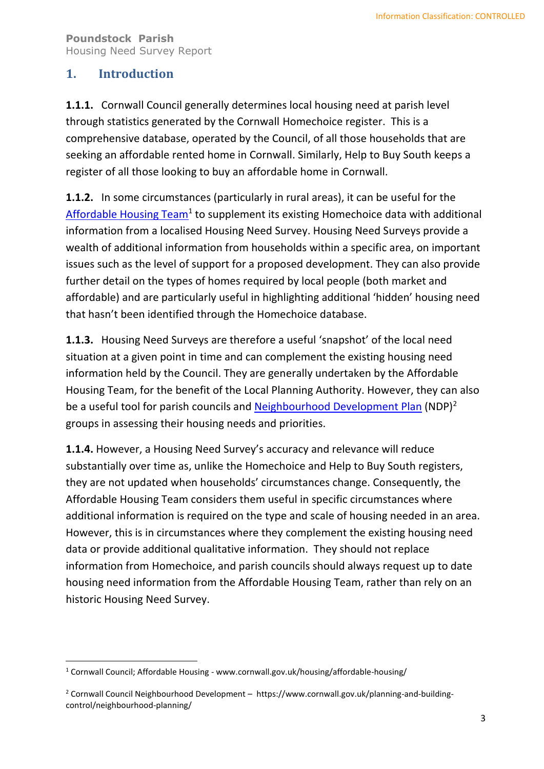## <span id="page-2-0"></span>**1. Introduction**

**1.1.1.** Cornwall Council generally determines local housing need at parish level through statistics generated by the Cornwall Homechoice register. This is a comprehensive database, operated by the Council, of all those households that are seeking an affordable rented home in Cornwall. Similarly, Help to Buy South keeps a register of all those looking to buy an affordable home in Cornwall.

**1.1.2.** In some circumstances (particularly in rural areas), it can be useful for the [Affordable Housing Team](http://www.cornwall.gov.uk/housing/affordable-housing/housing-needs-surveys-and-reports/)<sup>1</sup> to supplement its existing Homechoice data with additional information from a localised Housing Need Survey. Housing Need Surveys provide a wealth of additional information from households within a specific area, on important issues such as the level of support for a proposed development. They can also provide further detail on the types of homes required by local people (both market and affordable) and are particularly useful in highlighting additional 'hidden' housing need that hasn't been identified through the Homechoice database.

**1.1.3.** Housing Need Surveys are therefore a useful 'snapshot' of the local need situation at a given point in time and can complement the existing housing need information held by the Council. They are generally undertaken by the Affordable Housing Team, for the benefit of the Local Planning Authority. However, they can also be a useful tool for parish councils and [Neighbourhood Development Plan](https://www.cornwall.gov.uk/planning-and-building-control/neighbourhood-planning/) (NDP)<sup>2</sup> groups in assessing their housing needs and priorities.

**1.1.4.** However, a Housing Need Survey's accuracy and relevance will reduce substantially over time as, unlike the Homechoice and Help to Buy South registers, they are not updated when households' circumstances change. Consequently, the Affordable Housing Team considers them useful in specific circumstances where additional information is required on the type and scale of housing needed in an area. However, this is in circumstances where they complement the existing housing need data or provide additional qualitative information. They should not replace information from Homechoice, and parish councils should always request up to date housing need information from the Affordable Housing Team, rather than rely on an historic Housing Need Survey.

<sup>1</sup> Cornwall Council; Affordable Housing - www.cornwall.gov.uk/housing/affordable-housing/

<sup>&</sup>lt;sup>2</sup> Cornwall Council Neighbourhood Development – https://www.cornwall.gov.uk/planning-and-buildingcontrol/neighbourhood-planning/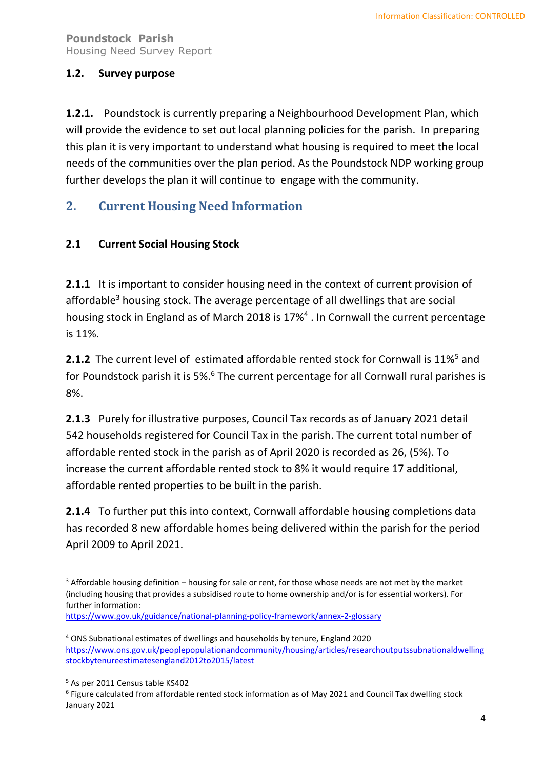#### <span id="page-3-0"></span>**1.2. Survey purpose**

**1.2.1.** Poundstock is currently preparing a Neighbourhood Development Plan, which will provide the evidence to set out local planning policies for the parish. In preparing this plan it is very important to understand what housing is required to meet the local needs of the communities over the plan period. As the Poundstock NDP working group further develops the plan it will continue to engage with the community.

## <span id="page-3-1"></span>**2. Current Housing Need Information**

#### <span id="page-3-2"></span>**2.1 Current Social Housing Stock**

**2.1.1** It is important to consider housing need in the context of current provision of affordable<sup>3</sup> housing stock. The average percentage of all dwellings that are social housing stock in England as of March 2018 is 17%<sup>4</sup>. In Cornwall the current percentage is 11%.

**2.1.2** The current level of estimated affordable rented stock for Cornwall is 11%<sup>5</sup> and for Poundstock parish it is 5%.<sup>6</sup> The current percentage for all Cornwall rural parishes is 8%.

**2.1.3** Purely for illustrative purposes, Council Tax records as of January 2021 detail 542 households registered for Council Tax in the parish. The current total number of affordable rented stock in the parish as of April 2020 is recorded as 26, (5%). To increase the current affordable rented stock to 8% it would require 17 additional, affordable rented properties to be built in the parish.

**2.1.4** To further put this into context, Cornwall affordable housing completions data has recorded 8 new affordable homes being delivered within the parish for the period April 2009 to April 2021.

6 Figure calculated from affordable rented stock information as of May 2021 and Council Tax dwelling stock January 2021

 $3$  Affordable housing definition – housing for sale or rent, for those whose needs are not met by the market (including housing that provides a subsidised route to home ownership and/or is for essential workers). For further information:

<https://www.gov.uk/guidance/national-planning-policy-framework/annex-2-glossary>

<sup>4</sup> ONS Subnational estimates of dwellings and households by tenure, England 2020 [https://www.ons.gov.uk/peoplepopulationandcommunity/housing/articles/researchoutputssubnationaldwelling](https://www.ons.gov.uk/peoplepopulationandcommunity/housing/articles/researchoutputssubnationaldwellingstockbytenureestimatesengland2012to2015/latest) [stockbytenureestimatesengland2012to2015/latest](https://www.ons.gov.uk/peoplepopulationandcommunity/housing/articles/researchoutputssubnationaldwellingstockbytenureestimatesengland2012to2015/latest)

<sup>5</sup> As per 2011 Census table KS402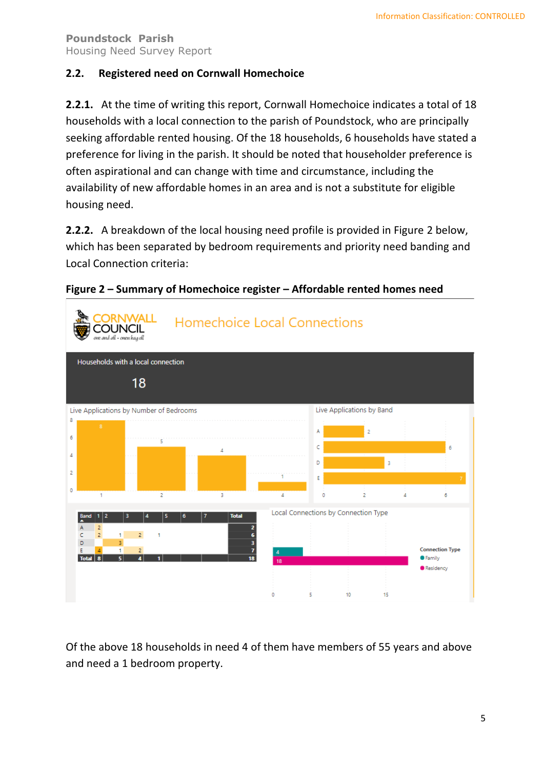#### <span id="page-4-0"></span>**2.2. Registered need on Cornwall Homechoice**

**2.2.1.** At the time of writing this report, Cornwall Homechoice indicates a total of 18 households with a local connection to the parish of Poundstock, who are principally seeking affordable rented housing. Of the 18 households, 6 households have stated a preference for living in the parish. It should be noted that householder preference is often aspirational and can change with time and circumstance, including the availability of new affordable homes in an area and is not a substitute for eligible housing need.

**2.2.2.** A breakdown of the local housing need profile is provided in Figure 2 below, which has been separated by bedroom requirements and priority need banding and Local Connection criteria:



**Figure 2 – Summary of Homechoice register – Affordable rented homes need**

Of the above 18 households in need 4 of them have members of 55 years and above and need a 1 bedroom property.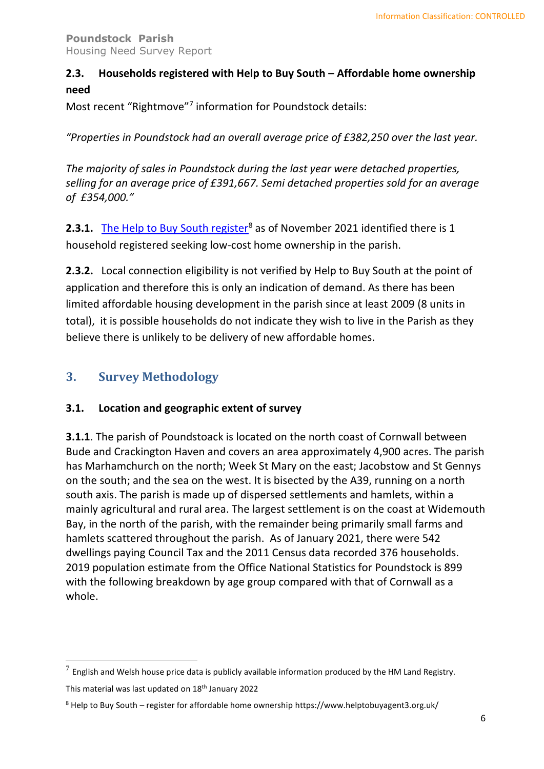## <span id="page-5-0"></span>**2.3. Households registered with Help to Buy South – Affordable home ownership need**

Most recent "Rightmove"<sup>7</sup> information for Poundstock details:

*"Properties in Poundstock had an overall average price of £382,250 over the last year.*

*The majority of sales in Poundstock during the last year were detached properties, selling for an average price of £391,667. Semi detached properties sold for an average of £354,000."*

**2.3.1.** [The Help to Buy South register](https://www.helptobuyagent3.org.uk/)<sup>8</sup> as of November 2021 identified there is 1 household registered seeking low-cost home ownership in the parish.

**2.3.2.** Local connection eligibility is not verified by Help to Buy South at the point of application and therefore this is only an indication of demand. As there has been limited affordable housing development in the parish since at least 2009 (8 units in total), it is possible households do not indicate they wish to live in the Parish as they believe there is unlikely to be delivery of new affordable homes.

## <span id="page-5-1"></span>**3. Survey Methodology**

#### <span id="page-5-2"></span>**3.1. Location and geographic extent of survey**

**3.1.1**. The parish of Poundstoack is located on the north coast of Cornwall between Bude and Crackington Haven and covers an area approximately 4,900 acres. The parish has Marhamchurch on the north; Week St Mary on the east; Jacobstow and St Gennys on the south; and the sea on the west. It is bisected by the A39, running on a north south axis. The parish is made up of dispersed settlements and hamlets, within a mainly agricultural and rural area. The largest settlement is on the coast at Widemouth Bay, in the north of the parish, with the remainder being primarily small farms and hamlets scattered throughout the parish. As of January 2021, there were 542 dwellings paying Council Tax and the 2011 Census data recorded 376 households. 2019 population estimate from the Office National Statistics for Poundstock is 899 with the following breakdown by age group compared with that of Cornwall as a whole.

This material was last updated on 18<sup>th</sup> January 2022

 $^7$  English and Welsh house price data is publicly available information produced by the HM Land Registry.

<sup>8</sup> Help to Buy South – register for affordable home ownership https://www.helptobuyagent3.org.uk/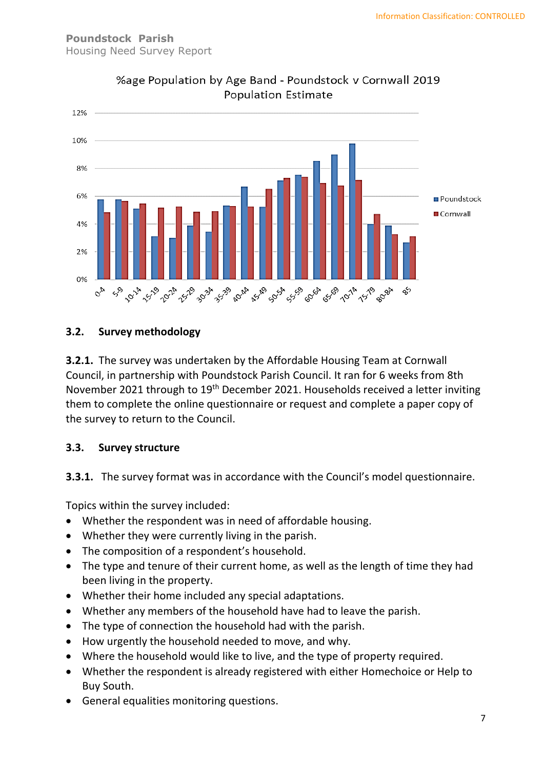

## %age Population by Age Band - Poundstock v Cornwall 2019 **Population Estimate**

#### <span id="page-6-0"></span>**3.2. Survey methodology**

**3.2.1.** The survey was undertaken by the Affordable Housing Team at Cornwall Council, in partnership with Poundstock Parish Council. It ran for 6 weeks from 8th November 2021 through to 19<sup>th</sup> December 2021. Households received a letter inviting them to complete the online questionnaire or request and complete a paper copy of the survey to return to the Council.

#### <span id="page-6-1"></span>**3.3. Survey structure**

**3.3.1.** The survey format was in accordance with the Council's model questionnaire.

Topics within the survey included:

- Whether the respondent was in need of affordable housing.
- Whether they were currently living in the parish.
- The composition of a respondent's household.
- The type and tenure of their current home, as well as the length of time they had been living in the property.
- Whether their home included any special adaptations.
- Whether any members of the household have had to leave the parish.
- The type of connection the household had with the parish.
- How urgently the household needed to move, and why.
- Where the household would like to live, and the type of property required.
- Whether the respondent is already registered with either Homechoice or Help to Buy South.
- General equalities monitoring questions.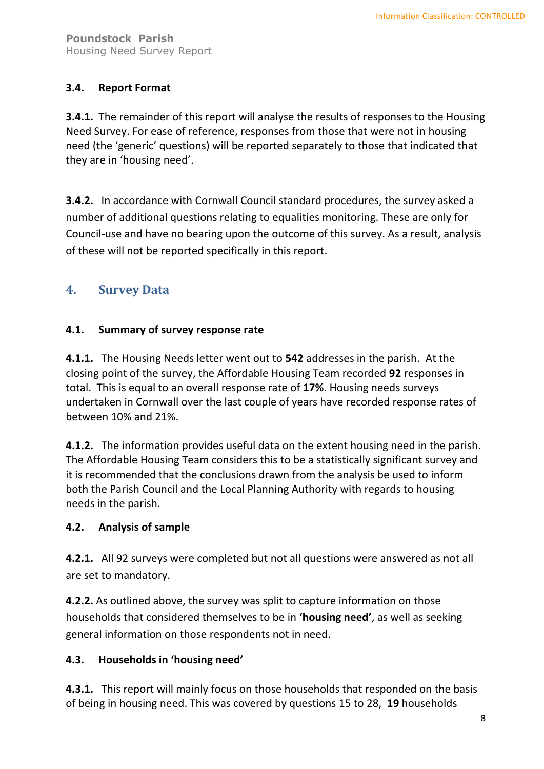#### <span id="page-7-0"></span>**3.4. Report Format**

**3.4.1.** The remainder of this report will analyse the results of responses to the Housing Need Survey. For ease of reference, responses from those that were not in housing need (the 'generic' questions) will be reported separately to those that indicated that they are in 'housing need'.

**3.4.2.** In accordance with Cornwall Council standard procedures, the survey asked a number of additional questions relating to equalities monitoring. These are only for Council-use and have no bearing upon the outcome of this survey. As a result, analysis of these will not be reported specifically in this report.

## <span id="page-7-1"></span>**4. Survey Data**

#### <span id="page-7-2"></span>**4.1. Summary of survey response rate**

**4.1.1.** The Housing Needs letter went out to **542** addresses in the parish. At the closing point of the survey, the Affordable Housing Team recorded **92** responses in total. This is equal to an overall response rate of **17%**. Housing needs surveys undertaken in Cornwall over the last couple of years have recorded response rates of between 10% and 21%.

**4.1.2.** The information provides useful data on the extent housing need in the parish. The Affordable Housing Team considers this to be a statistically significant survey and it is recommended that the conclusions drawn from the analysis be used to inform both the Parish Council and the Local Planning Authority with regards to housing needs in the parish.

#### <span id="page-7-3"></span>**4.2. Analysis of sample**

**4.2.1.** All 92 surveys were completed but not all questions were answered as not all are set to mandatory.

**4.2.2.** As outlined above, the survey was split to capture information on those households that considered themselves to be in **'housing need'**, as well as seeking general information on those respondents not in need.

#### <span id="page-7-4"></span>**4.3. Households in 'housing need'**

**4.3.1.** This report will mainly focus on those households that responded on the basis of being in housing need. This was covered by questions 15 to 28, **19** households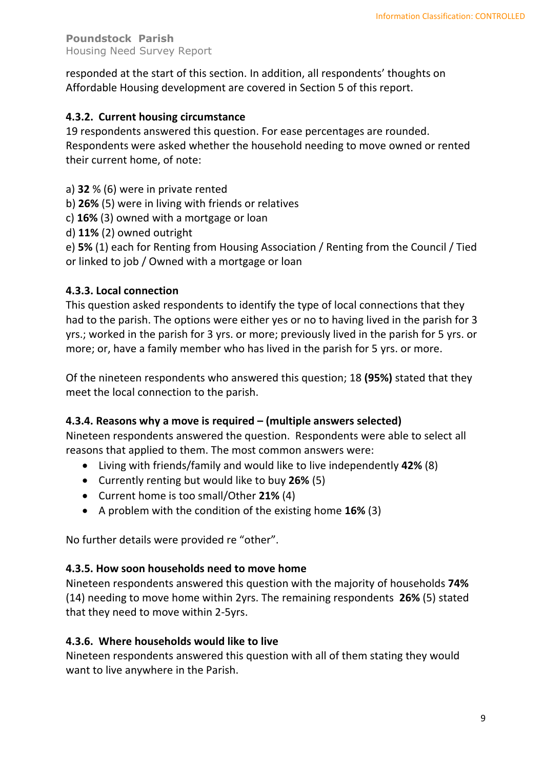responded at the start of this section. In addition, all respondents' thoughts on Affordable Housing development are covered in Section 5 of this report.

#### **4.3.2. Current housing circumstance**

19 respondents answered this question. For ease percentages are rounded. Respondents were asked whether the household needing to move owned or rented their current home, of note:

- a) **32** % (6) were in private rented
- b) **26%** (5) were in living with friends or relatives
- c) **16%** (3) owned with a mortgage or loan
- d) **11%** (2) owned outright

e) **5%** (1) each for Renting from Housing Association / Renting from the Council / Tied or linked to job / Owned with a mortgage or loan

#### **4.3.3. Local connection**

This question asked respondents to identify the type of local connections that they had to the parish. The options were either yes or no to having lived in the parish for 3 yrs.; worked in the parish for 3 yrs. or more; previously lived in the parish for 5 yrs. or more; or, have a family member who has lived in the parish for 5 yrs. or more.

Of the nineteen respondents who answered this question; 18 **(95%)** stated that they meet the local connection to the parish.

#### **4.3.4. Reasons why a move is required – (multiple answers selected)**

Nineteen respondents answered the question. Respondents were able to select all reasons that applied to them. The most common answers were:

- Living with friends/family and would like to live independently **42%** (8)
- Currently renting but would like to buy **26%** (5)
- Current home is too small/Other **21%** (4)
- A problem with the condition of the existing home **16%** (3)

No further details were provided re "other".

#### **4.3.5. How soon households need to move home**

Nineteen respondents answered this question with the majority of households **74%** (14) needing to move home within 2yrs. The remaining respondents **26%** (5) stated that they need to move within 2-5yrs.

#### **4.3.6. Where households would like to live**

Nineteen respondents answered this question with all of them stating they would want to live anywhere in the Parish.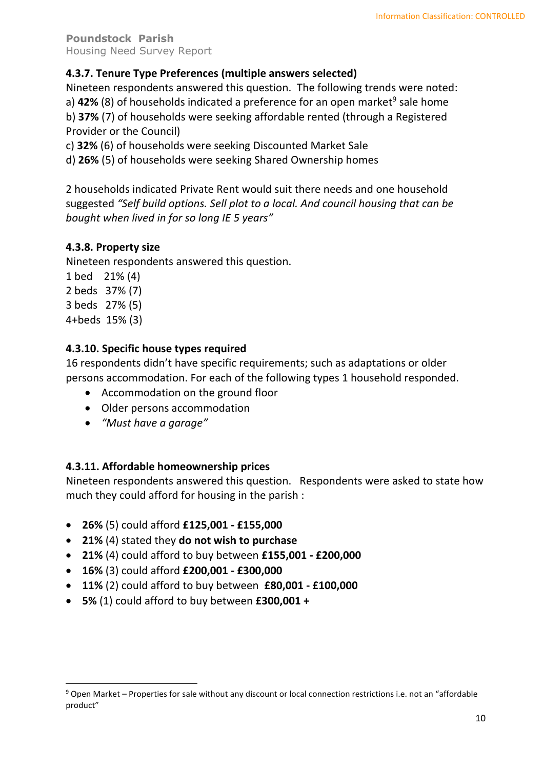#### **4.3.7. Tenure Type Preferences (multiple answers selected)**

Nineteen respondents answered this question. The following trends were noted:

a) 42% (8) of households indicated a preference for an open market<sup>9</sup> sale home b) **37%** (7) of households were seeking affordable rented (through a Registered Provider or the Council)

c) **32%** (6) of households were seeking Discounted Market Sale

d) **26%** (5) of households were seeking Shared Ownership homes

2 households indicated Private Rent would suit there needs and one household suggested *"Self build options. Sell plot to a local. And council housing that can be bought when lived in for so long IE 5 years"*

#### **4.3.8. Property size**

Nineteen respondents answered this question.

- 1 bed 21% (4) 2 beds 37% (7)
- 3 beds 27% (5)
- 4+beds 15% (3)

#### **4.3.10. Specific house types required**

16 respondents didn't have specific requirements; such as adaptations or older persons accommodation. For each of the following types 1 household responded.

- Accommodation on the ground floor
- Older persons accommodation
- *"Must have a garage"*

#### **4.3.11. Affordable homeownership prices**

Nineteen respondents answered this question. Respondents were asked to state how much they could afford for housing in the parish :

- **26%** (5) could afford **£125,001 - £155,000**
- **21%** (4) stated they **do not wish to purchase**
- **21%** (4) could afford to buy between **£155,001 - £200,000**
- **16%** (3) could afford **£200,001 - £300,000**
- **11%** (2) could afford to buy between **£80,001 - £100,000**
- **5%** (1) could afford to buy between **£300,001 +**

<sup>9</sup> Open Market – Properties for sale without any discount or local connection restrictions i.e. not an "affordable product"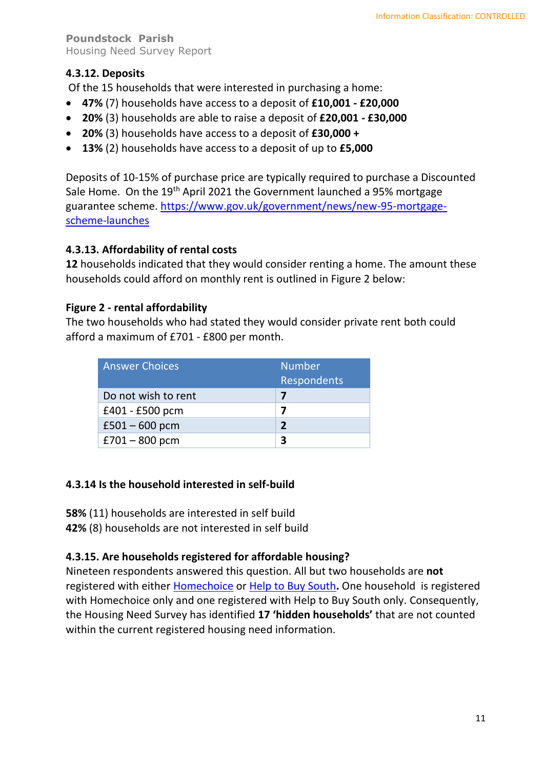### **4.3.12. Deposits**

Of the 15 households that were interested in purchasing a home:

- **47%** (7) households have access to a deposit of **£10,001 - £20,000**
- **20%** (3) households are able to raise a deposit of **£20,001 - £30,000**
- **20%** (3) households have access to a deposit of **£30,000 +**
- **13%** (2) households have access to a deposit of up to **£5,000**

Deposits of 10-15% of purchase price are typically required to purchase a Discounted Sale Home. On the 19<sup>th</sup> April 2021 the Government launched a 95% mortgage guarantee scheme. [https://www.gov.uk/government/news/new-95-mortgage](https://www.gov.uk/government/news/new-95-mortgage-scheme-launches)[scheme-launches](https://www.gov.uk/government/news/new-95-mortgage-scheme-launches)

#### **4.3.13. Affordability of rental costs**

**12** households indicated that they would consider renting a home. The amount these households could afford on monthly rent is outlined in Figure 2 below:

#### **Figure 2 - rental affordability**

The two households who had stated they would consider private rent both could afford a maximum of £701 - £800 per month.

| <b>Answer Choices</b> | <b>Number</b><br>Respondents |
|-----------------------|------------------------------|
| Do not wish to rent   |                              |
| £401 - £500 pcm       |                              |
| $£501 - 600$ pcm      | $\mathbf{z}$                 |
| $£701 - 800$ pcm      |                              |

#### **4.3.14 Is the household interested in self-build**

**58%** (11) households are interested in self build

**42%** (8) households are not interested in self build

#### **4.3.15. Are households registered for affordable housing?**

Nineteen respondents answered this question. All but two households are **not** registered with either [Homechoice](https://www.cornwallhousing.org.uk/find-a-home/homechoice-housing-register/) or [Help to Buy South](https://www.helptobuyagent3.org.uk/)**.** One household is registered with Homechoice only and one registered with Help to Buy South only. Consequently, the Housing Need Survey has identified **17 'hidden households'** that are not counted within the current registered housing need information.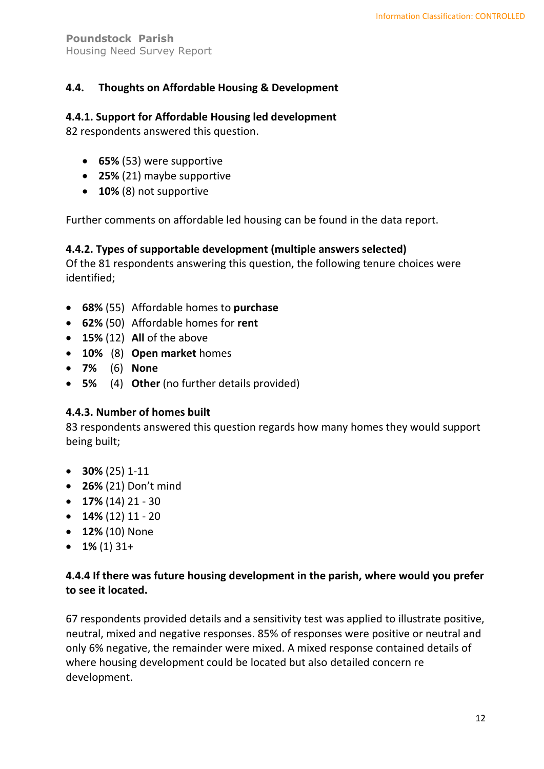#### <span id="page-11-0"></span>**4.4. Thoughts on Affordable Housing & Development**

#### **4.4.1. Support for Affordable Housing led development**

82 respondents answered this question.

- **65%** (53) were supportive
- **25%** (21) maybe supportive
- **10%** (8) not supportive

Further comments on affordable led housing can be found in the data report.

#### **4.4.2. Types of supportable development (multiple answers selected)**

Of the 81 respondents answering this question, the following tenure choices were identified;

- **68%** (55) Affordable homes to **purchase**
- **62%** (50) Affordable homes for **rent**
- $\bullet$  **15%** (12) **All** of the above
- **10%** (8) **Open market** homes
- **7%** (6) **None**
- **5%** (4) **Other** (no further details provided)

#### **4.4.3. Number of homes built**

83 respondents answered this question regards how many homes they would support being built;

- **30%** (25) 1-11
- **26%** (21) Don't mind
- **17%** (14) 21 30
- $\bullet$  **14%** (12) 11 20
- **12%** (10) None
- **1%** (1) 31+

#### **4.4.4 If there was future housing development in the parish, where would you prefer to see it located.**

67 respondents provided details and a sensitivity test was applied to illustrate positive, neutral, mixed and negative responses. 85% of responses were positive or neutral and only 6% negative, the remainder were mixed. A mixed response contained details of where housing development could be located but also detailed concern re development.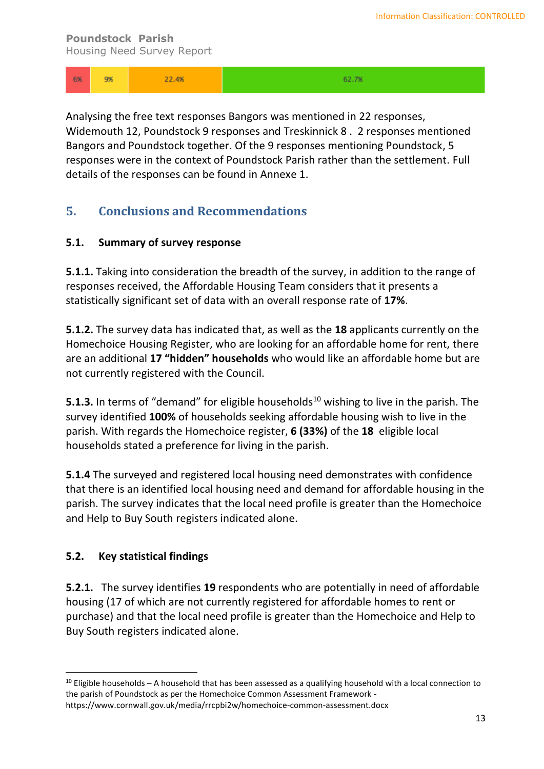| - 6% | 9% | 22.4% | 62.7% |
|------|----|-------|-------|
|------|----|-------|-------|

Analysing the free text responses Bangors was mentioned in 22 responses, Widemouth 12, Poundstock 9 responses and Treskinnick 8 . 2 responses mentioned Bangors and Poundstock together. Of the 9 responses mentioning Poundstock, 5 responses were in the context of Poundstock Parish rather than the settlement. Full details of the responses can be found in Annexe 1.

## <span id="page-12-0"></span>**5. Conclusions and Recommendations**

#### <span id="page-12-1"></span>**5.1. Summary of survey response**

**5.1.1.** Taking into consideration the breadth of the survey, in addition to the range of responses received, the Affordable Housing Team considers that it presents a statistically significant set of data with an overall response rate of **17%**.

**5.1.2.** The survey data has indicated that, as well as the **18** applicants currently on the Homechoice Housing Register, who are looking for an affordable home for rent, there are an additional **17 "hidden" households** who would like an affordable home but are not currently registered with the Council.

**5.1.3.** In terms of "demand" for eligible households<sup>10</sup> wishing to live in the parish. The survey identified **100%** of households seeking affordable housing wish to live in the parish. With regards the Homechoice register, **6 (33%)** of the **18** eligible local households stated a preference for living in the parish.

**5.1.4** The surveyed and registered local housing need demonstrates with confidence that there is an identified local housing need and demand for affordable housing in the parish. The survey indicates that the local need profile is greater than the Homechoice and Help to Buy South registers indicated alone.

#### <span id="page-12-2"></span>**5.2. Key statistical findings**

**5.2.1.** The survey identifies **19** respondents who are potentially in need of affordable housing (17 of which are not currently registered for affordable homes to rent or purchase) and that the local need profile is greater than the Homechoice and Help to Buy South registers indicated alone.

 $10$  Eligible households – A household that has been assessed as a qualifying household with a local connection to the parish of Poundstock as per the Homechoice Common Assessment Framework -

https://www.cornwall.gov.uk/media/rrcpbi2w/homechoice-common-assessment.docx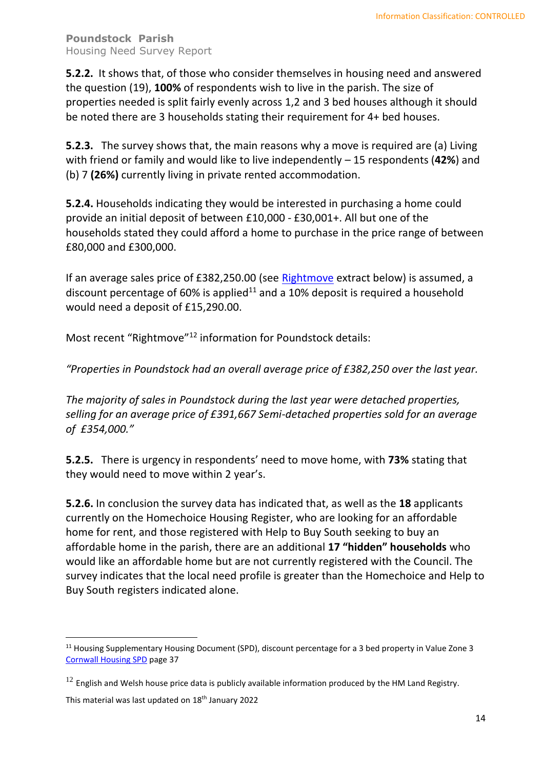**5.2.2.** It shows that, of those who consider themselves in housing need and answered the question (19), **100%** of respondents wish to live in the parish. The size of properties needed is split fairly evenly across 1,2 and 3 bed houses although it should be noted there are 3 households stating their requirement for 4+ bed houses.

**5.2.3.** The survey shows that, the main reasons why a move is required are (a) Living with friend or family and would like to live independently – 15 respondents (**42%**) and (b) 7 **(26%)** currently living in private rented accommodation.

**5.2.4.** Households indicating they would be interested in purchasing a home could provide an initial deposit of between £10,000 - £30,001+. All but one of the households stated they could afford a home to purchase in the price range of between £80,000 and £300,000.

If an average sales price of £382,250.00 (see [Rightmove](https://www.rightmove.co.uk/house-prices.html) extract below) is assumed, a discount percentage of 60% is applied<sup>11</sup> and a 10% deposit is required a household would need a deposit of £15,290.00.

Most recent "Rightmove"<sup>12</sup> information for Poundstock details:

*"Properties in Poundstock had an overall average price of £382,250 over the last year.*

*The majority of sales in Poundstock during the last year were detached properties, selling for an average price of £391,667 Semi-detached properties sold for an average of £354,000."*

**5.2.5.** There is urgency in respondents' need to move home, with **73%** stating that they would need to move within 2 year's.

**5.2.6.** In conclusion the survey data has indicated that, as well as the **18** applicants currently on the Homechoice Housing Register, who are looking for an affordable home for rent, and those registered with Help to Buy South seeking to buy an affordable home in the parish, there are an additional **17 "hidden" households** who would like an affordable home but are not currently registered with the Council. The survey indicates that the local need profile is greater than the Homechoice and Help to Buy South registers indicated alone.

<sup>&</sup>lt;sup>11</sup> Housing Supplementary Housing Document (SPD), discount percentage for a 3 bed property in Value Zone 3 [Cornwall Housing SPD](https://indd.adobe.com/view/d6991b3d-474f-4b3a-953a-77b4d812c222) page 37

 $12$  English and Welsh house price data is publicly available information produced by the HM Land Registry.

This material was last updated on 18<sup>th</sup> January 2022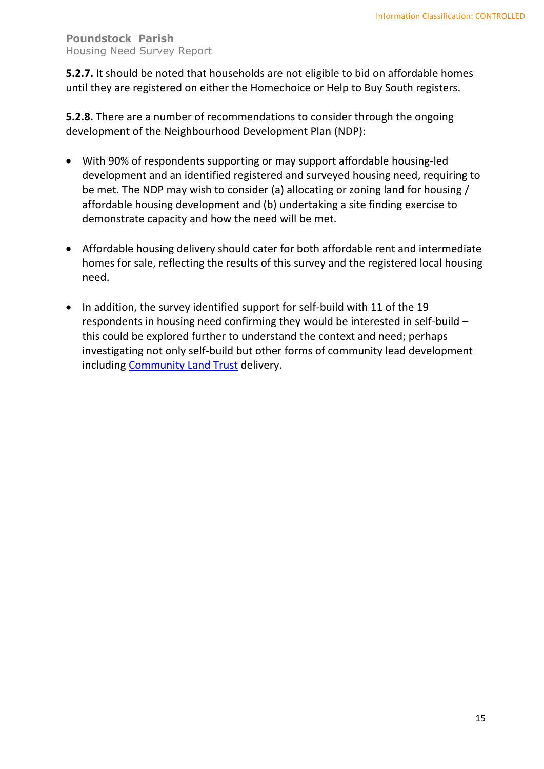**5.2.7.** It should be noted that households are not eligible to bid on affordable homes until they are registered on either the Homechoice or Help to Buy South registers.

**5.2.8.** There are a number of recommendations to consider through the ongoing development of the Neighbourhood Development Plan (NDP):

- With 90% of respondents supporting or may support affordable housing-led development and an identified registered and surveyed housing need, requiring to be met. The NDP may wish to consider (a) allocating or zoning land for housing / affordable housing development and (b) undertaking a site finding exercise to demonstrate capacity and how the need will be met.
- Affordable housing delivery should cater for both affordable rent and intermediate homes for sale, reflecting the results of this survey and the registered local housing need.
- In addition, the survey identified support for self-build with 11 of the 19 respondents in housing need confirming they would be interested in self-build – this could be explored further to understand the context and need; perhaps investigating not only self-build but other forms of community lead development including [Community Land Trust](https://www.communitylandtrusts.org.uk/) delivery.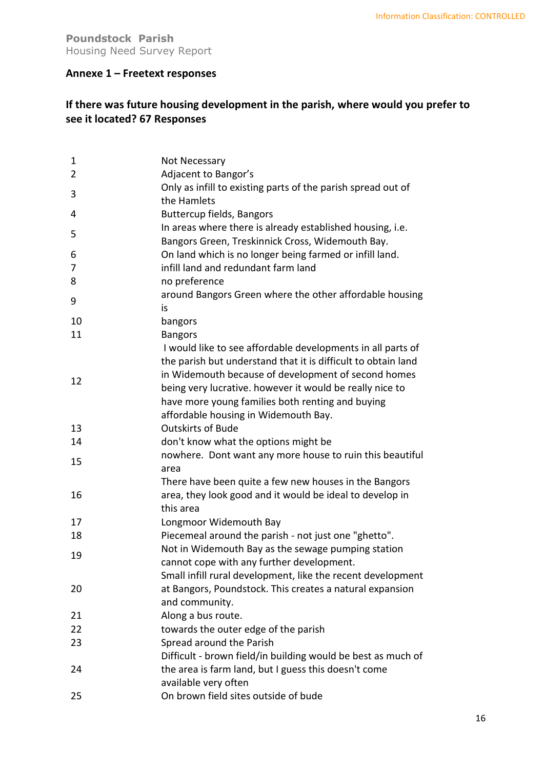#### <span id="page-15-0"></span>**Annexe 1 – Freetext responses**

## **If there was future housing development in the parish, where would you prefer to see it located? 67 Responses**

| $\mathbf{1}$   | Not Necessary                                                                                                                                                                                                                                                                                                                               |
|----------------|---------------------------------------------------------------------------------------------------------------------------------------------------------------------------------------------------------------------------------------------------------------------------------------------------------------------------------------------|
| $\overline{2}$ | Adjacent to Bangor's                                                                                                                                                                                                                                                                                                                        |
| 3              | Only as infill to existing parts of the parish spread out of<br>the Hamlets                                                                                                                                                                                                                                                                 |
| 4              | <b>Buttercup fields, Bangors</b>                                                                                                                                                                                                                                                                                                            |
| 5              | In areas where there is already established housing, i.e.<br>Bangors Green, Treskinnick Cross, Widemouth Bay.                                                                                                                                                                                                                               |
| 6              | On land which is no longer being farmed or infill land.                                                                                                                                                                                                                                                                                     |
| 7              | infill land and redundant farm land                                                                                                                                                                                                                                                                                                         |
| 8              | no preference                                                                                                                                                                                                                                                                                                                               |
| 9              | around Bangors Green where the other affordable housing<br>is                                                                                                                                                                                                                                                                               |
| 10             | bangors                                                                                                                                                                                                                                                                                                                                     |
| 11             | <b>Bangors</b>                                                                                                                                                                                                                                                                                                                              |
| 12             | I would like to see affordable developments in all parts of<br>the parish but understand that it is difficult to obtain land<br>in Widemouth because of development of second homes<br>being very lucrative. however it would be really nice to<br>have more young families both renting and buying<br>affordable housing in Widemouth Bay. |
| 13             | <b>Outskirts of Bude</b>                                                                                                                                                                                                                                                                                                                    |
| 14             | don't know what the options might be                                                                                                                                                                                                                                                                                                        |
| 15             | nowhere. Dont want any more house to ruin this beautiful<br>area                                                                                                                                                                                                                                                                            |
| 16             | There have been quite a few new houses in the Bangors<br>area, they look good and it would be ideal to develop in<br>this area                                                                                                                                                                                                              |
| 17             | Longmoor Widemouth Bay                                                                                                                                                                                                                                                                                                                      |
| 18             | Piecemeal around the parish - not just one "ghetto".                                                                                                                                                                                                                                                                                        |
| 19             | Not in Widemouth Bay as the sewage pumping station<br>cannot cope with any further development.<br>Small infill rural development, like the recent development                                                                                                                                                                              |
| 20             | at Bangors, Poundstock. This creates a natural expansion<br>and community.                                                                                                                                                                                                                                                                  |
| 21             | Along a bus route.                                                                                                                                                                                                                                                                                                                          |
| 22             | towards the outer edge of the parish                                                                                                                                                                                                                                                                                                        |
| 23             | Spread around the Parish                                                                                                                                                                                                                                                                                                                    |
|                | Difficult - brown field/in building would be best as much of                                                                                                                                                                                                                                                                                |
| 24             | the area is farm land, but I guess this doesn't come<br>available very often                                                                                                                                                                                                                                                                |
| 25             | On brown field sites outside of bude                                                                                                                                                                                                                                                                                                        |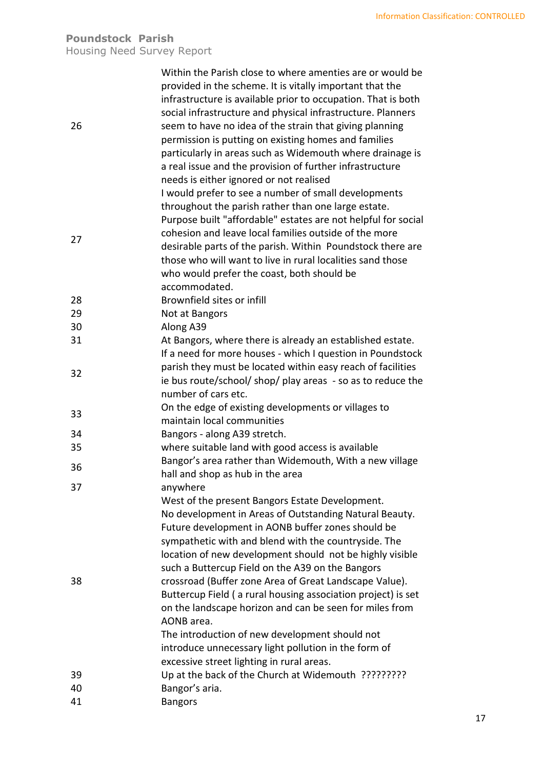| 26 | Within the Parish close to where amenties are or would be<br>provided in the scheme. It is vitally important that the<br>infrastructure is available prior to occupation. That is both<br>social infrastructure and physical infrastructure. Planners<br>seem to have no idea of the strain that giving planning<br>permission is putting on existing homes and families<br>particularly in areas such as Widemouth where drainage is<br>a real issue and the provision of further infrastructure<br>needs is either ignored or not realised<br>I would prefer to see a number of small developments |
|----|------------------------------------------------------------------------------------------------------------------------------------------------------------------------------------------------------------------------------------------------------------------------------------------------------------------------------------------------------------------------------------------------------------------------------------------------------------------------------------------------------------------------------------------------------------------------------------------------------|
| 27 | throughout the parish rather than one large estate.<br>Purpose built "affordable" estates are not helpful for social<br>cohesion and leave local families outside of the more<br>desirable parts of the parish. Within Poundstock there are<br>those who will want to live in rural localities sand those<br>who would prefer the coast, both should be<br>accommodated.                                                                                                                                                                                                                             |
| 28 | Brownfield sites or infill                                                                                                                                                                                                                                                                                                                                                                                                                                                                                                                                                                           |
| 29 | Not at Bangors                                                                                                                                                                                                                                                                                                                                                                                                                                                                                                                                                                                       |
| 30 | Along A39                                                                                                                                                                                                                                                                                                                                                                                                                                                                                                                                                                                            |
| 31 | At Bangors, where there is already an established estate.<br>If a need for more houses - which I question in Poundstock                                                                                                                                                                                                                                                                                                                                                                                                                                                                              |
| 32 | parish they must be located within easy reach of facilities<br>ie bus route/school/ shop/ play areas - so as to reduce the<br>number of cars etc.                                                                                                                                                                                                                                                                                                                                                                                                                                                    |
| 33 | On the edge of existing developments or villages to<br>maintain local communities                                                                                                                                                                                                                                                                                                                                                                                                                                                                                                                    |
| 34 | Bangors - along A39 stretch.                                                                                                                                                                                                                                                                                                                                                                                                                                                                                                                                                                         |
| 35 | where suitable land with good access is available                                                                                                                                                                                                                                                                                                                                                                                                                                                                                                                                                    |
| 36 | Bangor's area rather than Widemouth, With a new village<br>hall and shop as hub in the area                                                                                                                                                                                                                                                                                                                                                                                                                                                                                                          |
| 37 | anywhere                                                                                                                                                                                                                                                                                                                                                                                                                                                                                                                                                                                             |
| 38 | West of the present Bangors Estate Development.<br>No development in Areas of Outstanding Natural Beauty.<br>Future development in AONB buffer zones should be<br>sympathetic with and blend with the countryside. The<br>location of new development should not be highly visible<br>such a Buttercup Field on the A39 on the Bangors<br>crossroad (Buffer zone Area of Great Landscape Value).<br>Buttercup Field (a rural housing association project) is set<br>on the landscape horizon and can be seen for miles from<br>AONB area.<br>The introduction of new development should not          |
|    | introduce unnecessary light pollution in the form of<br>excessive street lighting in rural areas.                                                                                                                                                                                                                                                                                                                                                                                                                                                                                                    |
| 39 | Up at the back of the Church at Widemouth ??????????                                                                                                                                                                                                                                                                                                                                                                                                                                                                                                                                                 |
| 40 | Bangor's aria.                                                                                                                                                                                                                                                                                                                                                                                                                                                                                                                                                                                       |
| 41 | <b>Bangors</b>                                                                                                                                                                                                                                                                                                                                                                                                                                                                                                                                                                                       |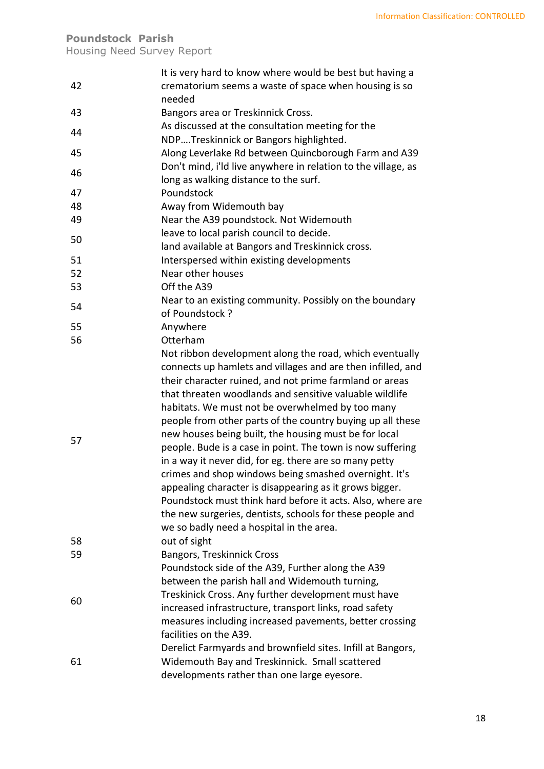## **Poundstock Parish**

Housing Need Survey Report

|    | It is very hard to know where would be best but having a                          |
|----|-----------------------------------------------------------------------------------|
| 42 | crematorium seems a waste of space when housing is so                             |
|    | needed                                                                            |
| 43 | Bangors area or Treskinnick Cross.                                                |
|    | As discussed at the consultation meeting for the                                  |
| 44 | NDPTreskinnick or Bangors highlighted.                                            |
| 45 | Along Leverlake Rd between Quincborough Farm and A39                              |
|    | Don't mind, i'ld live anywhere in relation to the village, as                     |
| 46 | long as walking distance to the surf.                                             |
| 47 | Poundstock                                                                        |
| 48 | Away from Widemouth bay                                                           |
| 49 | Near the A39 poundstock. Not Widemouth                                            |
|    |                                                                                   |
| 50 | leave to local parish council to decide.                                          |
|    | land available at Bangors and Treskinnick cross.                                  |
| 51 | Interspersed within existing developments                                         |
| 52 | Near other houses                                                                 |
| 53 | Off the A39                                                                       |
| 54 | Near to an existing community. Possibly on the boundary                           |
|    | of Poundstock ?                                                                   |
| 55 | Anywhere                                                                          |
| 56 | Otterham                                                                          |
|    | Not ribbon development along the road, which eventually                           |
|    | connects up hamlets and villages and are then infilled, and                       |
|    | their character ruined, and not prime farmland or areas                           |
|    | that threaten woodlands and sensitive valuable wildlife                           |
|    | habitats. We must not be overwhelmed by too many                                  |
|    | people from other parts of the country buying up all these                        |
|    | new houses being built, the housing must be for local                             |
| 57 | people. Bude is a case in point. The town is now suffering                        |
|    | in a way it never did, for eg. there are so many petty                            |
|    | crimes and shop windows being smashed overnight. It's                             |
|    | appealing character is disappearing as it grows bigger.                           |
|    | Poundstock must think hard before it acts. Also, where are                        |
|    | the new surgeries, dentists, schools for these people and                         |
|    | we so badly need a hospital in the area.                                          |
| 58 | out of sight                                                                      |
| 59 | Bangors, Treskinnick Cross                                                        |
|    | Poundstock side of the A39, Further along the A39                                 |
|    | between the parish hall and Widemouth turning,                                    |
|    | Treskinick Cross. Any further development must have                               |
| 60 | increased infrastructure, transport links, road safety                            |
|    |                                                                                   |
|    | measures including increased pavements, better crossing<br>facilities on the A39. |
|    |                                                                                   |
|    | Derelict Farmyards and brownfield sites. Infill at Bangors,                       |
| 61 | Widemouth Bay and Treskinnick. Small scattered                                    |
|    | developments rather than one large eyesore.                                       |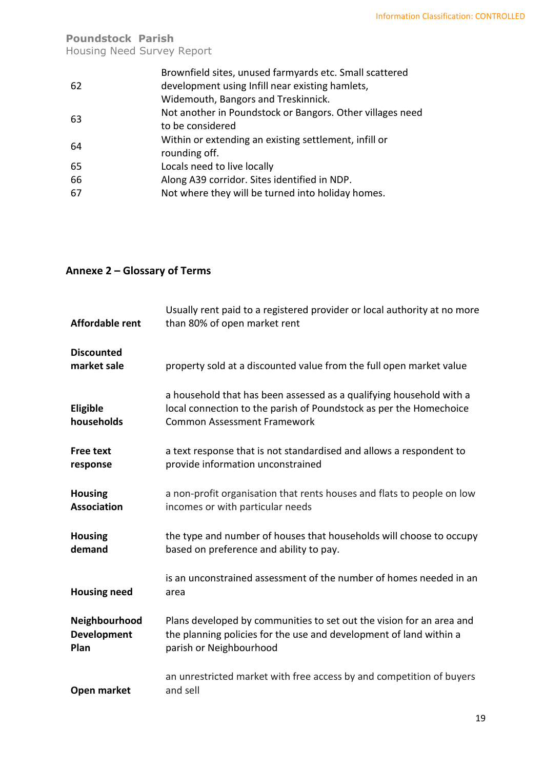## **Poundstock Parish**

Housing Need Survey Report

|    | Brownfield sites, unused farmyards etc. Small scattered   |
|----|-----------------------------------------------------------|
| 62 | development using Infill near existing hamlets,           |
|    | Widemouth, Bangors and Treskinnick.                       |
| 63 | Not another in Poundstock or Bangors. Other villages need |
|    | to be considered                                          |
| 64 | Within or extending an existing settlement, infill or     |
|    | rounding off.                                             |
| 65 | Locals need to live locally                               |
| 66 | Along A39 corridor. Sites identified in NDP.              |
| 67 | Not where they will be turned into holiday homes.         |
|    |                                                           |

## <span id="page-18-0"></span>**Annexe 2 – Glossary of Terms**

| <b>Affordable rent</b>                      | Usually rent paid to a registered provider or local authority at no more<br>than 80% of open market rent                                                                        |
|---------------------------------------------|---------------------------------------------------------------------------------------------------------------------------------------------------------------------------------|
| <b>Discounted</b><br>market sale            | property sold at a discounted value from the full open market value                                                                                                             |
| Eligible<br>households                      | a household that has been assessed as a qualifying household with a<br>local connection to the parish of Poundstock as per the Homechoice<br><b>Common Assessment Framework</b> |
| <b>Free text</b><br>response                | a text response that is not standardised and allows a respondent to<br>provide information unconstrained                                                                        |
| <b>Housing</b><br><b>Association</b>        | a non-profit organisation that rents houses and flats to people on low<br>incomes or with particular needs                                                                      |
| <b>Housing</b><br>demand                    | the type and number of houses that households will choose to occupy<br>based on preference and ability to pay.                                                                  |
| <b>Housing need</b>                         | is an unconstrained assessment of the number of homes needed in an<br>area                                                                                                      |
| Neighbourhood<br><b>Development</b><br>Plan | Plans developed by communities to set out the vision for an area and<br>the planning policies for the use and development of land within a<br>parish or Neighbourhood           |
| Open market                                 | an unrestricted market with free access by and competition of buyers<br>and sell                                                                                                |